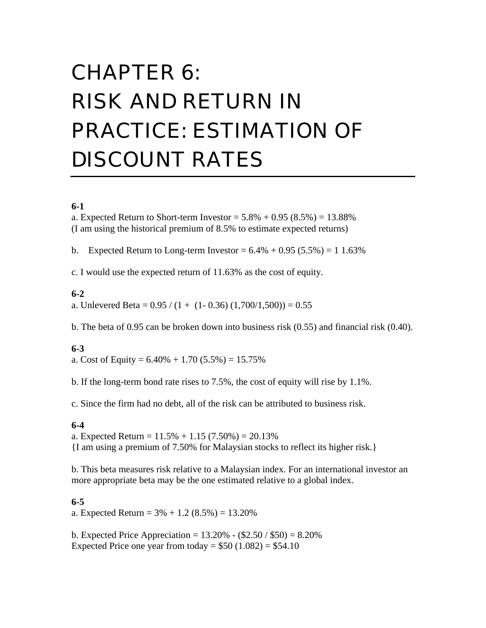# CHAPTER 6: RISK AND RETURN IN PRACTICE: ESTIMATION OF DISCOUNT RATES

# **6-1**

a. Expected Return to Short-term Investor =  $5.8\% + 0.95(8.5\%) = 13.88\%$ (I am using the historical premium of 8.5% to estimate expected returns)

b. Expected Return to Long-term Investor =  $6.4\% + 0.95$  (5.5%) = 1 1.63%

c. I would use the expected return of 11.63% as the cost of equity.

#### **6-2**

a. Unlevered Beta =  $0.95 / (1 + (1 - 0.36) (1,700/1,500)) = 0.55$ 

b. The beta of 0.95 can be broken down into business risk (0.55) and financial risk (0.40).

#### **6-3**

a. Cost of Equity =  $6.40\% + 1.70$   $(5.5\%) = 15.75\%$ 

b. If the long-term bond rate rises to 7.5%, the cost of equity will rise by 1.1%.

c. Since the firm had no debt, all of the risk can be attributed to business risk.

#### **6-4**

a. Expected Return =  $11.5% + 1.15(7.50%) = 20.13%$ {I am using a premium of 7.50% for Malaysian stocks to reflect its higher risk.}

b. This beta measures risk relative to a Malaysian index. For an international investor an more appropriate beta may be the one estimated relative to a global index.

#### **6-5**

a. Expected Return =  $3\% + 1.2$  (8.5%) = 13.20%

b. Expected Price Appreciation =  $13.20\%$  -  $(\$2.50 / \$50) = 8.20\%$ Expected Price one year from today =  $$50$  (1.082) = \$54.10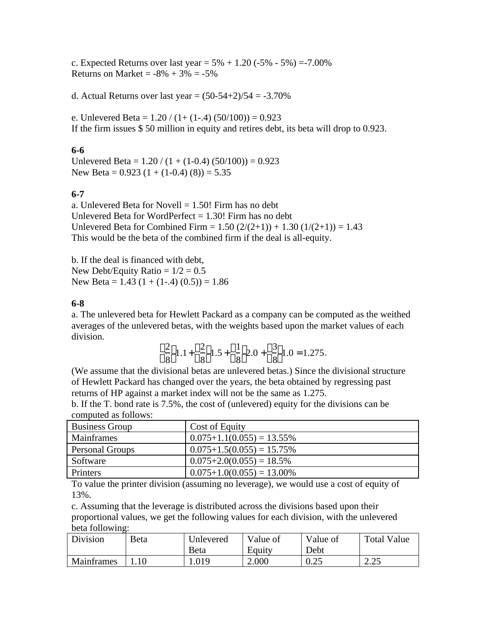c. Expected Returns over last year =  $5\% + 1.20$  ( $-5\% - 5\%$ ) =  $-7.00\%$ Returns on Market =  $-8\% + 3\% = -5\%$ 

d. Actual Returns over last year =  $(50-54+2)/54 = -3.70\%$ 

e. Unlevered Beta =  $1.20 / (1 + (1 - .4) (50/100)) = 0.923$ If the firm issues \$ 50 million in equity and retires debt, its beta will drop to 0.923.

#### **6-6**

Unlevered Beta =  $1.20 / (1 + (1-0.4) (50/100)) = 0.923$ New Beta =  $0.923(1 + (1-0.4)(8)) = 5.35$ 

### **6-7**

a. Unlevered Beta for Novell  $= 1.50!$  Firm has no debt Unlevered Beta for WordPerfect  $= 1.30!$  Firm has no debt Unlevered Beta for Combined Firm =  $1.50 (2/(2+1)) + 1.30 (1/(2+1)) = 1.43$ This would be the beta of the combined firm if the deal is all-equity.

b. If the deal is financed with debt, New Debt/Equity Ratio  $= 1/2 = 0.5$ New Beta =  $1.43$  (1 + (1-.4) (0.5)) = 1.86

#### **6-8**

a. The unlevered beta for Hewlett Packard as a company can be computed as the weithed averages of the unlevered betas, with the weights based upon the market values of each division.

$$
\frac{2}{8} 1.1 + \frac{2}{8} 1.5 + \frac{1}{8} 2.0 + \frac{3}{8} 1.0 = 1.275.
$$

(We assume that the divisional betas are unlevered betas.) Since the divisional structure of Hewlett Packard has changed over the years, the beta obtained by regressing past returns of HP against a market index will not be the same as 1.275.

b. If the T. bond rate is 7.5%, the cost of (unlevered) equity for the divisions can be computed as follows:

| <b>Business Group</b>  | Cost of Equity               |
|------------------------|------------------------------|
| Mainframes             | $0.075+1.1(0.055) = 13.55\%$ |
| <b>Personal Groups</b> | $0.075+1.5(0.055) = 15.75\%$ |
| Software               | $0.075+2.0(0.055) = 18.5\%$  |
| Printers               | $0.075+1.0(0.055) = 13.00\%$ |

To value the printer division (assuming no leverage), we would use a cost of equity of 13%.

c. Assuming that the leverage is distributed across the divisions based upon their proportional values, we get the following values for each division, with the unlevered beta following:

| Division   | <b>B</b> eta | Unlevered    | Value of | Value of | <b>Total Value</b> |
|------------|--------------|--------------|----------|----------|--------------------|
|            |              | <b>B</b> eta | Equity   | Debt     |                    |
| Mainframes |              | .019         | 2.000    | 0.25     | 2.25<br>ں کہ ک     |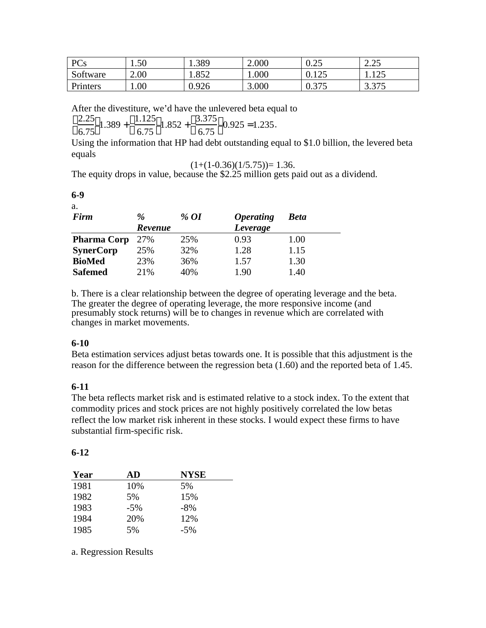| PCs      | 1.50 | 1.389 | 2.000     | $\Omega$ $\Omega$<br>∪.∠J | າ າ<<br>$\angle$ . $\angle$ J |
|----------|------|-------|-----------|---------------------------|-------------------------------|
| Software | 2.00 | 1.852 | $1.000\,$ | $1 \cap 5$<br>0.12J       | 1.125                         |
| Printers | 00.1 | 0.926 | 3.000     | 275<br>U.J I J            | 3.375                         |

After the divestiture, we'd have the unlevered beta equal to

$$
\frac{2.25}{6.75} 1.389 + \frac{1.125}{6.75} 1.852 + \frac{3.375}{6.75} 0.925 = 1.235.
$$

Using the information that HP had debt outstanding equal to \$1.0 billion, the levered beta equals

$$
(1+(1-0.36)(1/5.75))=1.36.
$$

The equity drops in value, because the \$2.25 million gets paid out as a dividend.

#### **6-9** a.

| Firm               | $\%$           | % OI | <i><b>Operating</b></i> | Beta |
|--------------------|----------------|------|-------------------------|------|
|                    | <b>Revenue</b> |      | Leverage                |      |
| <b>Pharma Corp</b> | 27%            | 25%  | 0.93                    | 1.00 |
| <b>SynerCorp</b>   | 25%            | 32%  | 1.28                    | 1.15 |
| <b>BioMed</b>      | 23%            | 36%  | 1.57                    | 1.30 |
| <b>Safemed</b>     | 21%            | 40%  | 1.90                    | 1.40 |

b. There is a clear relationship between the degree of operating leverage and the beta. The greater the degree of operating leverage, the more responsive income (and presumably stock returns) will be to changes in revenue which are correlated with changes in market movements.

### **6-10**

Beta estimation services adjust betas towards one. It is possible that this adjustment is the reason for the difference between the regression beta (1.60) and the reported beta of 1.45.

# **6-11**

The beta reflects market risk and is estimated relative to a stock index. To the extent that commodity prices and stock prices are not highly positively correlated the low betas reflect the low market risk inherent in these stocks. I would expect these firms to have substantial firm-specific risk.

### **6-12**

| Year | AD    | <b>NYSE</b> |
|------|-------|-------------|
| 1981 | 10%   | 5%          |
| 1982 | 5%    | 15%         |
| 1983 | $-5%$ | $-8\%$      |
| 1984 | 20%   | 12%         |
| 1985 | 5%    | $-5\%$      |

a. Regression Results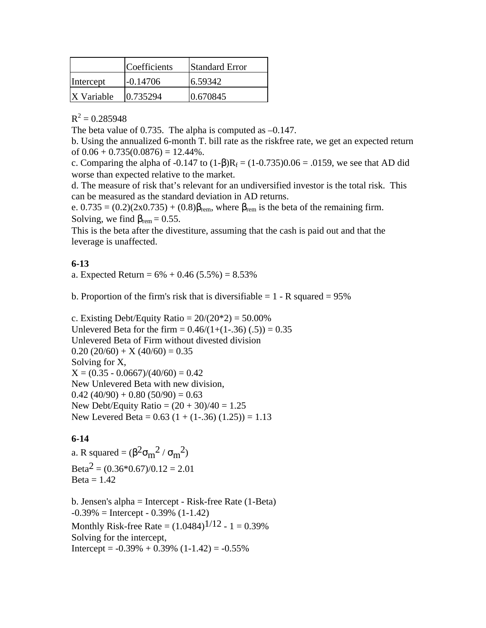|                   | Coefficients | <b>Standard Error</b> |
|-------------------|--------------|-----------------------|
| Intercept         | $-0.14706$   | 6.59342               |
| <b>X</b> Variable | 0.735294     | 0.670845              |

 $R^2 = 0.285948$ 

The beta value of 0.735. The alpha is computed as  $-0.147$ .

b. Using the annualized 6-month T. bill rate as the riskfree rate, we get an expected return of  $0.06 + 0.735(0.0876) = 12.44\%$ .

c. Comparing the alpha of -0.147 to  $(1 - )R_f = (1 - 0.735)0.06 = .0159$ , we see that AD did worse than expected relative to the market.

d. The measure of risk that's relevant for an undiversified investor is the total risk. This can be measured as the standard deviation in AD returns.

e.  $0.735 = (0.2)(2x0.735) + (0.8)$  rem, where rem is the beta of the remaining firm. Solving, we find  $_{\rm rem} = 0.55$ .

This is the beta after the divestiture, assuming that the cash is paid out and that the leverage is unaffected.

#### **6-13**

a. Expected Return =  $6\% + 0.46$  (5.5%) = 8.53%

b. Proportion of the firm's risk that is diversifiable  $= 1 - R$  squared  $= 95\%$ 

c. Existing Debt/Equity Ratio =  $20/(20*2) = 50.00\%$ Unlevered Beta for the firm =  $0.46/(1+(1-.36) (.5)) = 0.35$ Unlevered Beta of Firm without divested division  $0.20 (20/60) + X (40/60) = 0.35$ Solving for X,  $X = (0.35 - 0.0667)/(40/60) = 0.42$ New Unlevered Beta with new division,  $0.42$  (40/90) + 0.80 (50/90) = 0.63 New Debt/Equity Ratio =  $(20 + 30)/40 = 1.25$ New Levered Beta =  $0.63$  (1 + (1-.36) (1.25)) = 1.13

### **6-14**

a. R squared =  $(\begin{array}{cc} 2 & m^2 / m^2 \end{array})$ Beta<sup>2</sup> =  $(0.36*0.67)/0.12 = 2.01$  $Beta = 1.42$ 

b. Jensen's alpha = Intercept - Risk-free Rate (1-Beta)  $-0.39\% =$  Intercept  $-0.39\%$  (1-1.42) Monthly Risk-free Rate =  $(1.0484)^{1/12}$  - 1 = 0.39% Solving for the intercept, Intercept =  $-0.39\% + 0.39\%$  (1-1.42) =  $-0.55\%$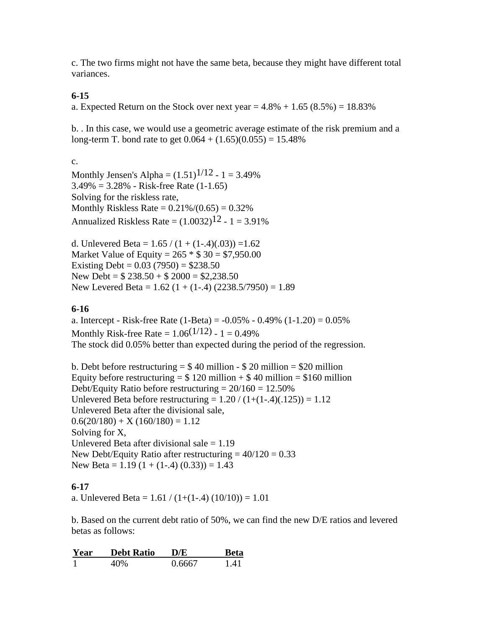c. The two firms might not have the same beta, because they might have different total variances.

#### **6-15**

a. Expected Return on the Stock over next year  $= 4.8\% + 1.65 (8.5\%) = 18.83\%$ 

b. . In this case, we would use a geometric average estimate of the risk premium and a long-term T. bond rate to get  $0.064 + (1.65)(0.055) = 15.48\%$ 

c.

Monthly Jensen's Alpha =  $(1.51)^{1/12}$  - 1 = 3.49%  $3.49\% = 3.28\%$  - Risk-free Rate  $(1-1.65)$ Solving for the riskless rate, Monthly Riskless Rate =  $0.21\%/0.65$  =  $0.32\%$ Annualized Riskless Rate =  $(1.0032)^{12}$  - 1 = 3.91%

d. Unlevered Beta =  $1.65 / (1 + (1-4)(.03)) = 1.62$ Market Value of Equity =  $265 * $30 = $7,950.00$ Existing Debt =  $0.03$  (7950) = \$238.50 New Debt =  $$238.50 + $2000 = $2,238.50$ New Levered Beta =  $1.62$  (1 + (1-.4) (2238.5/7950) = 1.89

# **6-16**

a. Intercept - Risk-free Rate  $(1-Beta) = -0.05\% - 0.49\% (1-1.20) = 0.05\%$ Monthly Risk-free Rate =  $1.06^{(1/12)} - 1 = 0.49\%$ The stock did 0.05% better than expected during the period of the regression.

b. Debt before restructuring  $= $40$  million - \$20 million  $= $20$  million Equity before restructuring =  $$ 120$  million +  $$ 40$  million =  $$160$  million Debt/Equity Ratio before restructuring  $= 20/160 = 12.50\%$ Unlevered Beta before restructuring =  $1.20 / (1+(1-4)(.125)) = 1.12$ Unlevered Beta after the divisional sale,  $0.6(20/180) + X(160/180) = 1.12$ Solving for X, Unlevered Beta after divisional sale  $= 1.19$ New Debt/Equity Ratio after restructuring  $= 40/120 = 0.33$ New Beta =  $1.19$  (1 + (1-.4) (0.33)) = 1.43

### **6-17**

a. Unlevered Beta =  $1.61 / (1+(1-4) (10/10)) = 1.01$ 

b. Based on the current debt ratio of 50%, we can find the new D/E ratios and levered betas as follows:

| Year | <b>Debt Ratio</b> | D/E    | Beta |
|------|-------------------|--------|------|
|      | 40\%              | 0.6667 | 141  |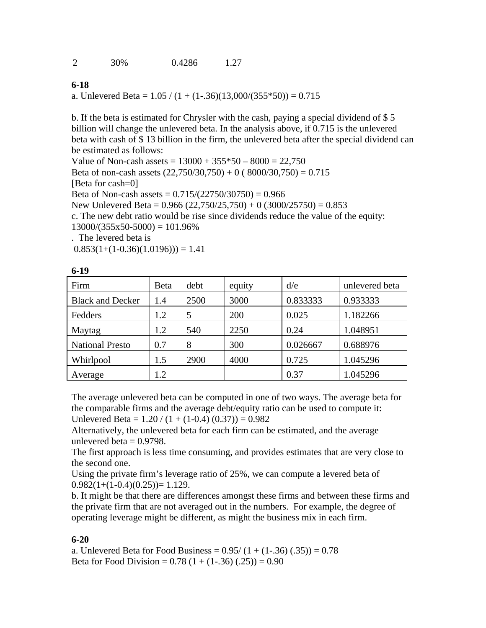**6-18**

a. Unlevered Beta =  $1.05 / (1 + (1-.36)(13,000/(355*50)) = 0.715$ 

b. If the beta is estimated for Chrysler with the cash, paying a special dividend of \$ 5 billion will change the unlevered beta. In the analysis above, if 0.715 is the unlevered beta with cash of \$ 13 billion in the firm, the unlevered beta after the special dividend can be estimated as follows:

Value of Non-cash assets =  $13000 + 355*50 - 8000 = 22,750$ Beta of non-cash assets  $(22,750/30,750) + 0$  (8000/30,750) = 0.715 [Beta for cash=0] Beta of Non-cash assets =  $0.715/(22750/30750) = 0.966$ New Unlevered Beta =  $0.966$  (22,750/25,750) + 0 (3000/25750) = 0.853 c. The new debt ratio would be rise since dividends reduce the value of the equity:  $13000/(355x50-5000) = 101.96\%$ . The levered beta is

 $0.853(1+(1-0.36)(1.0196)) = 1.41$ 

| Firm                    | <b>B</b> eta | debt | equity | d/e      | unlevered beta |
|-------------------------|--------------|------|--------|----------|----------------|
| <b>Black and Decker</b> | 1.4          | 2500 | 3000   | 0.833333 | 0.933333       |
| Fedders                 | 1.2          | 5    | 200    | 0.025    | 1.182266       |
| Maytag                  | 1.2          | 540  | 2250   | 0.24     | 1.048951       |
| <b>National Presto</b>  | 0.7          | 8    | 300    | 0.026667 | 0.688976       |
| Whirlpool               | 1.5          | 2900 | 4000   | 0.725    | 1.045296       |
| Average                 | 1.2          |      |        | 0.37     | 1.045296       |

**6-19**

The average unlevered beta can be computed in one of two ways. The average beta for the comparable firms and the average debt/equity ratio can be used to compute it: Unlevered Beta =  $1.20 / (1 + (1-0.4) (0.37)) = 0.982$ 

Alternatively, the unlevered beta for each firm can be estimated, and the average unlevered beta  $= 0.9798$ .

The first approach is less time consuming, and provides estimates that are very close to the second one.

Using the private firm's leverage ratio of 25%, we can compute a levered beta of  $0.982(1+(1-0.4)(0.25))=1.129.$ 

b. It might be that there are differences amongst these firms and between these firms and the private firm that are not averaged out in the numbers. For example, the degree of operating leverage might be different, as might the business mix in each firm.

#### **6-20**

a. Unlevered Beta for Food Business =  $0.95/(1 + (1-.36) (.35)) = 0.78$ Beta for Food Division =  $0.78$  (1 + (1-.36) (.25)) =  $0.90$